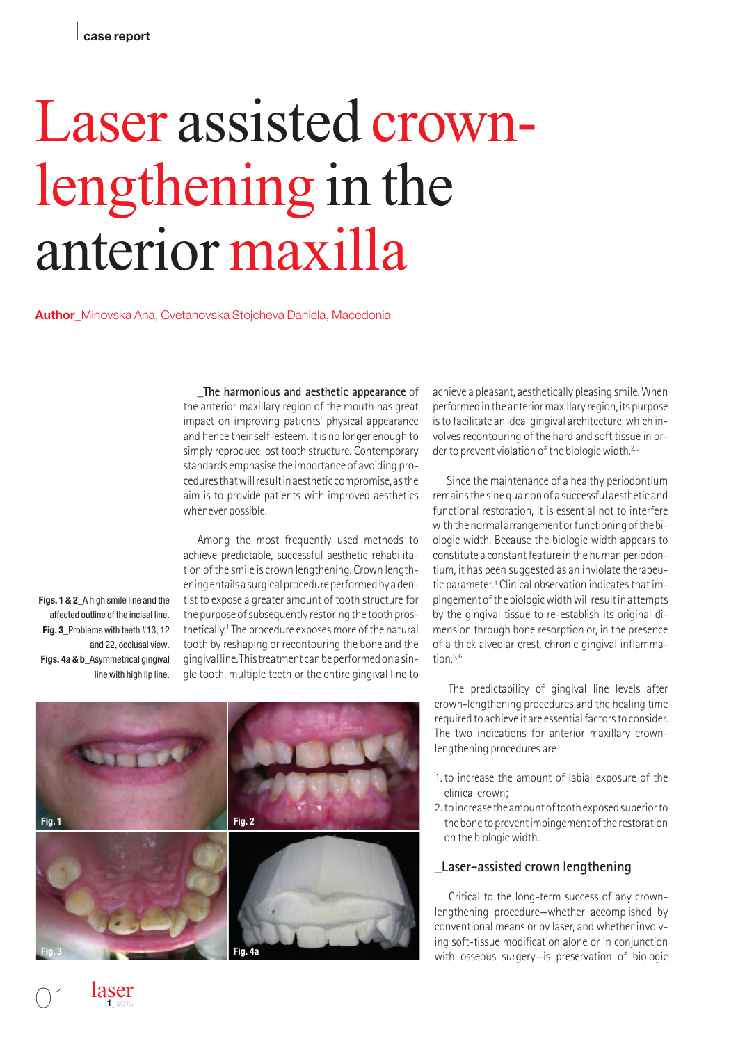# Laser assisted crownlengthening in the anterior maxilla

**Author**\_Minovska Ana, Cvetanovska Stojcheva Daniela, Macedonia

**\_The harmonious and aesthetic appearance** of the anterior maxillary region of the mouth has great impact on improving patients' physical appearance and hence their self-esteem. It is no longer enough to simply reproduce lost tooth structure. Contemporary standards emphasise the importance of avoiding proceduresthatwillresultinaestheticcompromise,asthe aim is to provide patients with improved aesthetics whenever possible.

Among the most frequently used methods to achieve predictable, successful aesthetic rehabilitation of the smile is crown lengthening. Crown lengthening entails a surgical procedure performed by a dentist to expose a greater amount of tooth structure for the purpose of subsequently restoring the tooth prosthetically.<sup>1</sup> The procedure exposes more of the natural tooth by reshaping or recontouring the bone and the gingivalline.Thistreatmentcanbeperformedonasingle tooth, multiple teeth or the entire gingival line to

achieve a pleasant, aesthetically pleasing smile.When performed in the anterior maxillary region, its purpose is to facilitate an ideal gingival architecture, which involves recontouring of the hard and soft tissue in order to prevent violation of the biologic width.<sup>2,3</sup>

Since the maintenance of a healthy periodontium remainsthe sinequanonof a successful aesthetic and functional restoration, it is essential not to interfere with the normal arrangement or functioning of the biologic width. Because the biologic width appears to constitute a constant feature in the human periodontium, it has been suggested as an inviolate therapeutic parameter. <sup>4</sup> Clinical observation indicatesthat impingement of the biologic width will result in attempts by the gingival tissue to re-establish its original dimension through bone resorption or, in the presence of a thick alveolar crest, chronic gingival inflammation.<sup>5, 6</sup>

The predictability of gingival line levels after crown-lengthening procedures and the healing time required to achieve it are essential factors to consider. The two indications for anterior maxillary crownlengthening procedures are

- 1.to increase the amount of labial exposure of the clinical crown;
- 2.toincreasetheamountoftoothexposedsuperiorto the bone to preventimpingement of the restoration on the biologicwidth.

# **\_Laser-assisted crown lengthening**

Critical to the long-term success of any crownlengthening procedure—whether accomplished by conventional means or by laser, and whether involving soft-tissue modification alone or in conjunction with osseous surgery—is preservation of biologic

**Figs. 1 & 2**\_A high smile line and the affected outline of the incisal line. **Fig. 3**\_Problems with teeth #13, 12 and 22, occlusal view. **Figs. 4a & b**\_Asymmetrical gingival line with high lip line.

> laser **1**\_2015

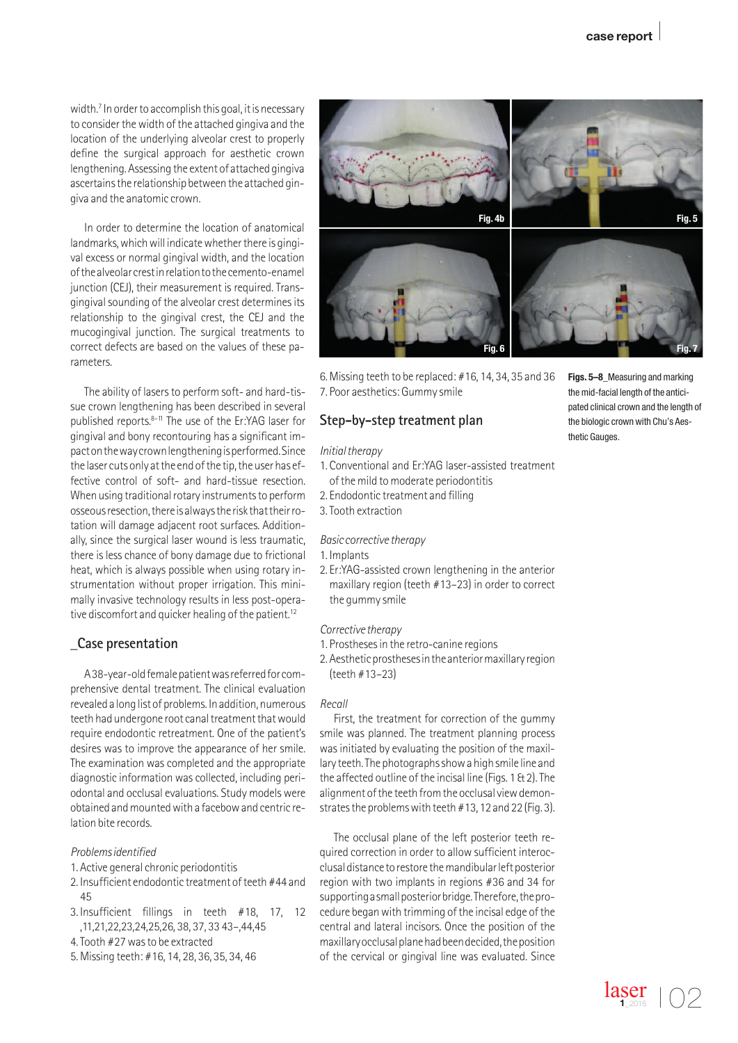width.<sup>7</sup> In order to accomplish this goal, it is necessary to consider the width of the attached gingiva and the location of the underlying alveolar crest to properly define the surgical approach for aesthetic crown lengthening.Assessing the extent of attached gingiva ascertainsthe relationship between the attached gingiva and the anatomic crown.

In order to determine the location of anatomical landmarks, which will indicate whether there is gingival excess or normal gingival width, and the location ofthealveolarcrestinrelationtothecemento-enamel junction (CEJ), their measurement is required. Transgingival sounding of the alveolar crest determines its relationship to the gingival crest, the CEJ and the mucogingival junction. The surgical treatments to correct defects are based on the values of these parameters.

The ability of lasers to perform soft- and hard-tissue crown lengthening has been described in several published reports. 8–11 The use of the Er:YAG laser for gingival and bony recontouring has a significant impactonthewaycrownlengtheningisperformed.Since the laser cuts only at the end of the tip, the user has effective control of soft- and hard-tissue resection. When using traditional rotary instruments to perform osseous resection, there is always the risk that their rotation will damage adjacent root surfaces. Additionally, since the surgical laser wound is less traumatic, there is less chance of bony damage due to frictional heat, which is always possible when using rotary instrumentation without proper irrigation. This minimally invasive technology results in less post-operative discomfort and quicker healing of the patient.<sup>12</sup>

# **\_Case presentation**

A38-year-old female patient was referred for comprehensive dental treatment. The clinical evaluation revealed a long list of problems. In addition, numerous teeth had undergone root canal treatment that would require endodontic retreatment. One of the patient's desires was to improve the appearance of her smile. The examination was completed and the appropriate diagnostic information was collected, including periodontal and occlusal evaluations. Study models were obtained andmountedwith a facebowand centric relation bite records.

#### *Problemsidentified*

- 1. Active general chronic periodontitis
- 2. Insufficient endodontic treatment of teeth #44 and 45
- 3. Insufficient fillings in teeth #18, 17, 12 ,11,21,22,23,24,25,26, 38, 37, 33 43–,44,45
- 4.Tooth #27wasto be extracted
- 5.Missing teeth: #16, 14, 28, 36, 35, 34, 46



6.Missing teeth to be replaced: #16, 14, 34, 35 and 36 7. Poor aesthetics: Gummy smile

## **Step-by-step treatment plan**

#### *Initialtherapy*

- 1. Conventional and Er:YAG laser-assisted treatment ofthe mild to moderate periodontitis
- 2. Endodontic treatment and filling
- 3.Tooth extraction

## *Basic corrective therapy*

- 1. Implants
- 2. Er:YAG-assisted crown lengthening in the anterior maxillary region (teeth #13–23) in order to correct the gummy smile

### *Corrective therapy*

- 1. Prosthesesin the retro-canine regions
- 2. Aestheticprosthesesintheanteriormaxillaryregion (teeth #13–23)

### *Recall*

First, the treatment for correction of the gummy smile was planned. The treatment planning process was initiated by evaluating the position of the maxillary teeth. The photographs show a high smile line and the affected outline of the incisal line (Figs. 1 & 2). The alignment of the teeth from the occlusal view demonstrates the problems with teeth  $#13$ , 12 and 22 (Fig. 3).

The occlusal plane of the left posterior teeth required correction in order to allow sufficient interocclusal distance to restore the mandibular left posterior region with two implants in regions #36 and 34 for supporting a small posterior bridge. Therefore, the procedure began with trimming of the incisal edge of the central and lateral incisors. Once the position of the maxillaryocclusalplanehadbeendecided,theposition of the cervical or gingival line was evaluated. Since

**Figs. 5–8**\_Measuring and marking the mid-facial length of the anticipated clinical crown and the length of the biologic crown with Chu's Aesthetic Gauges.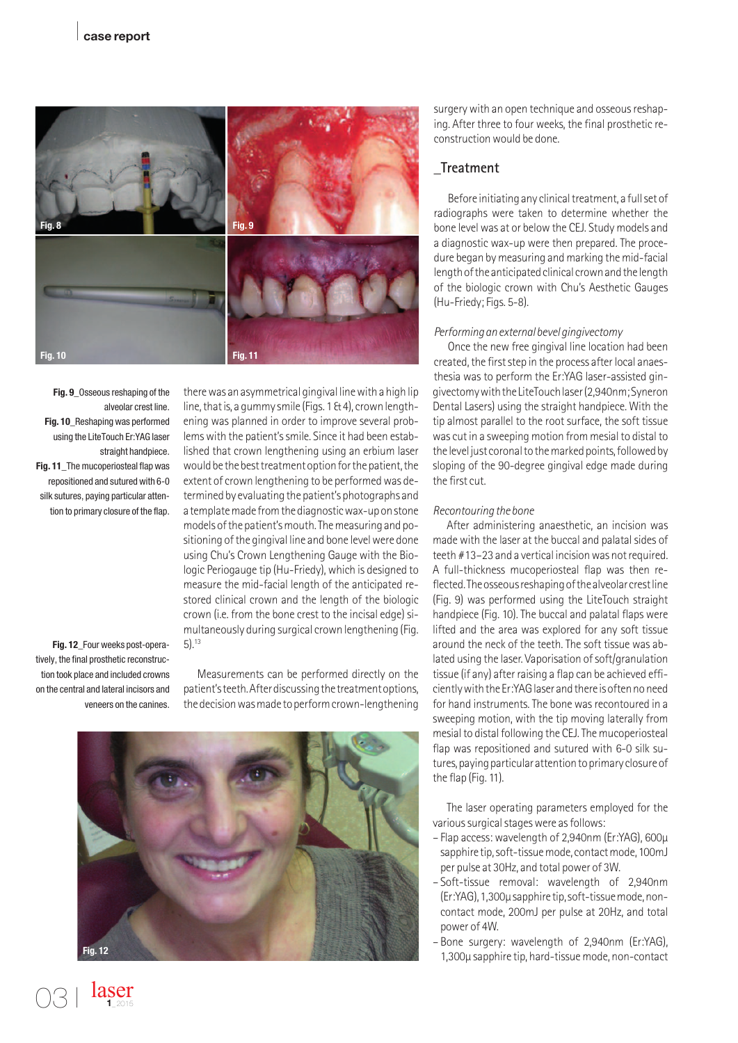

**Fig. 9**\_Osseous reshaping of the alveolar crest line. **Fig. 10**\_Reshaping was performed using the LiteTouch Er:YAG laser straight handpiece. **Fig. 11**\_The mucoperiosteal flap was repositioned and sutured with 6-0 silk sutures, paying particular attention to primary closure of the flap.

there was an asymmetrical gingival line with a high lip line, that is, a gummy smile (Figs. 1  $\&$  4), crown lengthening was planned in order to improve several problemswith the patient'ssmile. Since it had been established that crown lengthening using an erbium laser would be the best treatment option for the patient, the extent of crown lengthening to be performed was determined by evaluating the patient's photographs and atemplatemadefromthediagnosticwax-uponstone models of the patient's mouth. The measuring and positioning of the gingival line and bone level were done using Chu's Crown Lengthening Gauge with the Biologic Periogauge tip (Hu-Friedy), which is designed to measure the mid-facial length of the anticipated restored clinical crown and the length of the biologic crown (i.e. from the bone crest to the incisal edge) simultaneously during surgical crown lengthening (Fig. 5). 13

**Fig. 12**\_Four weeks post-operatively, the final prosthetic reconstruction took place and included crowns on the central and lateral incisors and veneers on the canines.

> laser **1**\_2015

Measurements can be performed directly on the patient's teeth. After discussing the treatment options, the decision was made to perform crown-lengthening



surgery with an open technique and osseous reshaping. After three to four weeks, the final prosthetic reconstructionwould be done.

## **\_Treatment**

Before initiating any clinical treatment, a full set of radiographs were taken to determine whether the bone level was at or below the CEJ. Study models and a diagnostic wax-up were then prepared. The procedure began by measuring and marking the mid-facial length of the anticipated clinical crown and the length of the biologic crown with Chu's Aesthetic Gauges (Hu-Friedy; Figs. 5-8).

#### *Performinganexternalbevelgingivectomy*

Once the new free gingival line location had been created, the first step in the process after local anaesthesia was to perform the Er:YAG laser-assisted gingivectomy with the LiteTouch laser (2,940nm; Syneron DentalLasers) using the straight handpiece. With the tip almost parallel to the root surface, the soft tissue was cut in a sweeping motion from mesial to distal to the level just coronal to the marked points, followed by sloping of the 90-degree gingival edge made during the first cut.

#### *Recontouringthebone*

After administering anaesthetic, an incision was made with the laser at the buccal and palatal sides of teeth #13–23 and a vertical incision was not required. A full-thickness mucoperiosteal flap was then reflected. The osseous reshaping of the alveolar crest line (Fig. 9) was performed using the LiteTouch straight handpiece (Fig. 10). The buccal and palatal flaps were lifted and the area was explored for any soft tissue around the neck of the teeth. The soft tissue was ablated using the laser. Vaporisation of soft/granulation tissue (if any) after raising a flap can be achieved efficientlywiththeEr:YAGlaserandthere isoftennoneed for hand instruments. The bone was recontoured in a sweeping motion, with the tip moving laterally from mesial to distal following the CEJ. The mucoperiosteal flap was repositioned and sutured with 6-0 silk sutures, paying particular attention to primary closure of the flap (Fig. 11).

The laser operating parameters employed for the various surgical stages were as follows:

- Flap access: wavelength of 2,940nm (Er:YAG), 600µ sapphire tip, soft-tissue mode, contact mode, 100mJ per pulse at 30Hz, and total power of 3W.
- Soft-tissue removal: wavelength of 2,940nm (Er:YAG),1,300µsapphiretip,soft-tissuemode,noncontact mode, 200mJ per pulse at 20Hz, and total power of 4W.
- Bone surgery: wavelength of 2,940nm (Er:YAG), 1,300µ sapphire tip, hard-tissuemode, non-contact